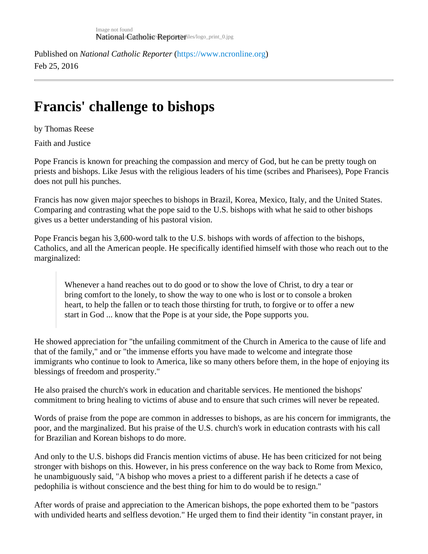Published on National Catholic Repo[r](https://www.ncronline.org)terhttps://www.ncronline.org Feb 25, 2016

## Francis' challenge to bishops

by Thomas Reese

Faith and Justice

Pope Francis is known for preaching the compassion and mercy of God, but he can be pretty tough on priests and bishops. Like Jesus with the religious leaders of his time (scribes and Pharisees), Pope Francis does not pull his punches.

Francis has now given major speeches to bishops in Brazil, Korea, Mexico, Italy, and the United States. Comparing and contrasting what the pope said to the U.S. bishops with what he said to other bishops gives us a better understanding of his pastoral vision.

Pope Francis began his 3,600-word talk to the U.S. bishops with words of affection to the bishops, Catholics, and all the American people. He specifically identified himself with those who reach out to the marginalized:

Whenever a hand reaches out to do good or to show the love of Christ, to dry a tear or bring comfort to the lonely, to show the way to one who is lost or to console a broken heart, to help the fallen or to teach those thirsting for truth, to forgive or to offer a new start in God ... know that the Pope is at your side, the Pope supports you.

He showed appreciation for "the unfailing commitment of the Church in America to the cause of life and that of the family," and or "the immense efforts you have made to welcome and integrate those immigrants who continue to look to America, like so many others before them, in the hope of enjoying its blessings of freedom and prosperity."

He also praised the church's work in education and charitable services. He mentioned the bishops' commitment to bring healing to victims of abuse and to ensure that such crimes will never be repeated.

Words of praise from the pope are common in addresses to bishops, as are his concern for immigrants, the poor, and the marginalized. But his praise of the U.S. church's work in education contrasts with his call for Brazilian and Korean bishops to do more.

And only to the U.S. bishops did Francis mention victims of abuse. He has been criticized for not being stronger with bishops on this. However, in his press conference on the way back to Rome from Mexico, he unambiguously said, "A bishop who moves a priest to a different parish if he detects a case of pedophilia is without conscience and the best thing for him to do would be to resign."

After words of praise and appreciation to the American bishops, the pope exhorted them to be "pastors with undivided hearts and selfless devotion." He urged them to find their identity "in constant prayer, in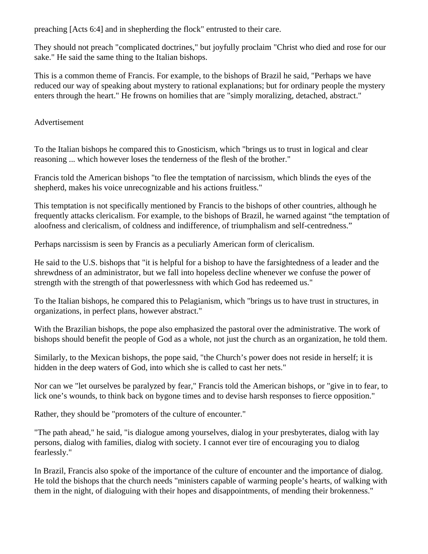preaching [Acts 6:4] and in shepherding the flock" entrusted to their care.

They should not preach "complicated doctrines," but joyfully proclaim "Christ who died and rose for our sake." He said the same thing to the Italian bishops.

This is a common theme of Francis. For example, to the bishops of Brazil he said, "Perhaps we have reduced our way of speaking about mystery to rational explanations; but for ordinary people the mystery enters through the heart." He frowns on homilies that are "simply moralizing, detached, abstract."

Advertisement

To the Italian bishops he compared this to Gnosticism, which "brings us to trust in logical and clear reasoning ... which however loses the tenderness of the flesh of the brother."

Francis told the American bishops "to flee the temptation of narcissism, which blinds the eyes of the shepherd, makes his voice unrecognizable and his actions fruitless."

This temptation is not specifically mentioned by Francis to the bishops of other countries, although he frequently attacks clericalism. For example, to the bishops of Brazil, he warned against "the temptation of aloofness and clericalism, of coldness and indifference, of triumphalism and self-centredness."

Perhaps narcissism is seen by Francis as a peculiarly American form of clericalism.

He said to the U.S. bishops that "it is helpful for a bishop to have the farsightedness of a leader and the shrewdness of an administrator, but we fall into hopeless decline whenever we confuse the power of strength with the strength of that powerlessness with which God has redeemed us."

To the Italian bishops, he compared this to Pelagianism, which "brings us to have trust in structures, in organizations, in perfect plans, however abstract."

With the Brazilian bishops, the pope also emphasized the pastoral over the administrative. The work of bishops should benefit the people of God as a whole, not just the church as an organization, he told them.

Similarly, to the Mexican bishops, the pope said, "the Church's power does not reside in herself; it is hidden in the deep waters of God, into which she is called to cast her nets."

Nor can we "let ourselves be paralyzed by fear," Francis told the American bishops, or "give in to fear, to lick one's wounds, to think back on bygone times and to devise harsh responses to fierce opposition."

Rather, they should be "promoters of the culture of encounter."

"The path ahead," he said, "is dialogue among yourselves, dialog in your presbyterates, dialog with lay persons, dialog with families, dialog with society. I cannot ever tire of encouraging you to dialog fearlessly."

In Brazil, Francis also spoke of the importance of the culture of encounter and the importance of dialog. He told the bishops that the church needs "ministers capable of warming people's hearts, of walking with them in the night, of dialoguing with their hopes and disappointments, of mending their brokenness."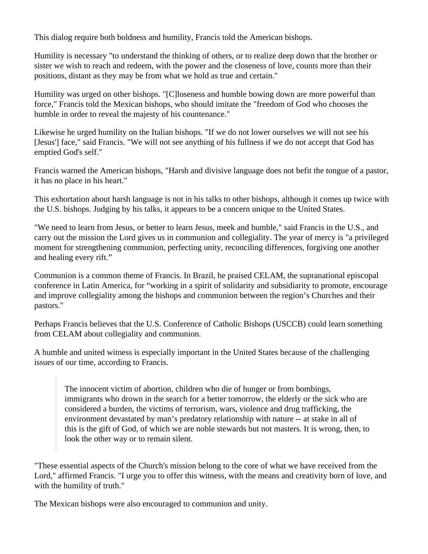This dialog require both boldness and humility, Francis told the American bishops.

Humility is necessary "to understand the thinking of others, or to realize deep down that the brother or sister we wish to reach and redeem, with the power and the closeness of love, counts more than their positions, distant as they may be from what we hold as true and certain."

Humility was urged on other bishops. "[C]loseness and humble bowing down are more powerful than force," Francis told the Mexican bishops, who should imitate the "freedom of God who chooses the humble in order to reveal the majesty of his countenance."

Likewise he urged humility on the Italian bishops. "If we do not lower ourselves we will not see his [Jesus'] face," said Francis. "We will not see anything of his fullness if we do not accept that God has emptied God's self."

Francis warned the American bishops, "Harsh and divisive language does not befit the tongue of a pastor, it has no place in his heart."

This exhortation about harsh language is not in his talks to other bishops, although it comes up twice with the U.S. bishops. Judging by his talks, it appears to be a concern unique to the United States.

"We need to learn from Jesus, or better to learn Jesus, meek and humble," said Francis in the U.S., and carry out the mission the Lord gives us in communion and collegiality. The year of mercy is "a privileged moment for strengthening communion, perfecting unity, reconciling differences, forgiving one another and healing every rift."

Communion is a common theme of Francis. In Brazil, he praised CELAM, the supranational episcopal conference in Latin America, for "working in a spirit of solidarity and subsidiarity to promote, encourage and improve collegiality among the bishops and communion between the region's Churches and their pastors."

Perhaps Francis believes that the U.S. Conference of Catholic Bishops (USCCB) could learn something from CELAM about collegiality and communion.

A humble and united witness is especially important in the United States because of the challenging issues of our time, according to Francis.

The innocent victim of abortion, children who die of hunger or from bombings, immigrants who drown in the search for a better tomorrow, the elderly or the sick who are considered a burden, the victims of terrorism, wars, violence and drug trafficking, the environment devastated by man's predatory relationship with nature -- at stake in all of this is the gift of God, of which we are noble stewards but not masters. It is wrong, then, to look the other way or to remain silent.

"These essential aspects of the Church's mission belong to the core of what we have received from the Lord," affirmed Francis. "I urge you to offer this witness, with the means and creativity born of love, and with the humility of truth."

The Mexican bishops were also encouraged to communion and unity.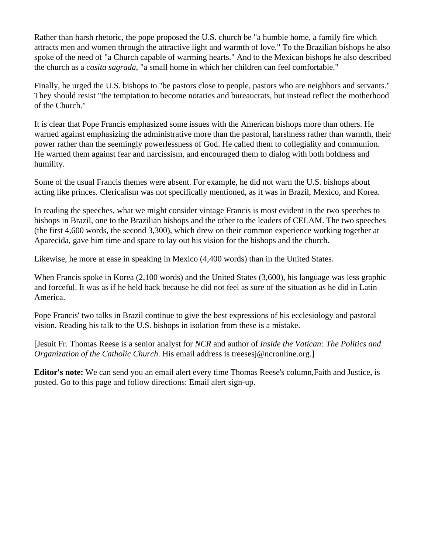Rather than harsh rhetoric, the pope proposed the U.S. church be "a humble home, a family fire which attracts men and women through the attractive light and warmth of love." To the Brazilian bishops he also spoke of the need of "a Church capable of warming hearts." And to the Mexican bishops he also described the church as a *casita sagrada*, "a small home in which her children can feel comfortable."

Finally, he urged the U.S. bishops to "be pastors close to people, pastors who are neighbors and servants." They should resist "the temptation to become notaries and bureaucrats, but instead reflect the motherhood of the Church."

It is clear that Pope Francis emphasized some issues with the American bishops more than others. He warned against emphasizing the administrative more than the pastoral, harshness rather than warmth, their power rather than the seemingly powerlessness of God. He called them to collegiality and communion. He warned them against fear and narcissism, and encouraged them to dialog with both boldness and humility.

Some of the usual Francis themes were absent. For example, he did not warn the U.S. bishops about acting like princes. Clericalism was not specifically mentioned, as it was in Brazil, Mexico, and Korea.

In reading the speeches, what we might consider vintage Francis is most evident in the two speeches to bishops in Brazil, one to the Brazilian bishops and the other to the leaders of CELAM. The two speeches (the first 4,600 words, the second 3,300), which drew on their common experience working together at Aparecida, gave him time and space to lay out his vision for the bishops and the church.

Likewise, he more at ease in speaking in Mexico (4,400 words) than in the United States.

When Francis spoke in Korea (2,100 words) and the United States (3,600), his language was less graphic and forceful. It was as if he held back because he did not feel as sure of the situation as he did in Latin America.

Pope Francis' two talks in Brazil continue to give the best expressions of his ecclesiology and pastoral vision. Reading his talk to the U.S. bishops in isolation from these is a mistake.

[Jesuit Fr. Thomas Reese is a senior analyst for *NCR* and author of *Inside the Vatican: The Politics and Organization of the Catholic Church*. His email address is treesesj@ncronline.org.]

**Editor's note:** We can send you an email alert every time Thomas Reese's column,Faith and Justice, is posted. Go to this page and follow directions: Email alert sign-up.